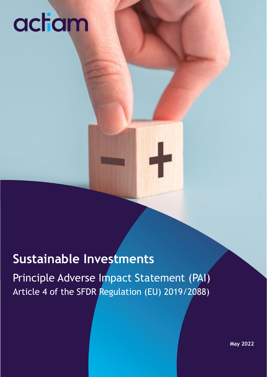### **Sustainable Investments**

Principle Adverse Impact Statement (PAI) Article 4 of the SFDR Regulation (EU) 2019/2088)

**May 2022**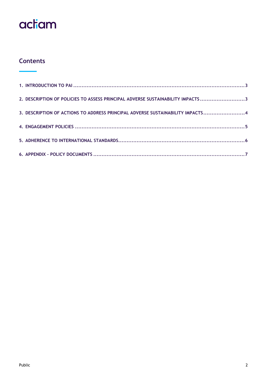### **Contents**

| 2. DESCRIPTION OF POLICIES TO ASSESS PRINCIPAL ADVERSE SUSTAINABILITY IMPACTS 3 |  |
|---------------------------------------------------------------------------------|--|
| 3. DESCRIPTION OF ACTIONS TO ADDRESS PRINCIPAL ADVERSE SUSTAINABILITY IMPACTS 4 |  |
|                                                                                 |  |
|                                                                                 |  |
|                                                                                 |  |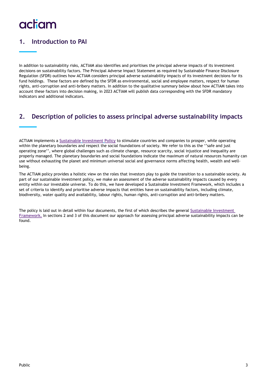### <span id="page-2-0"></span>**1. Introduction to PAI**

In addition to sustainability risks, ACTIAM also identifies and prioritises the principal adverse impacts of its investment decisions on sustainability factors. The Principal Adverse Impact Statement as required by Sustainable Finance Disclosure Regulation (SFDR) outlines how ACTIAM considers principal adverse sustainability impacts of its investment decisions for its fund holdings. These factors are defined by the SFDR as environmental, social and employee matters, respect for human rights, anti-corruption and anti-bribery matters. In addition to the qualitative summary below about how ACTIAM takes into account these factors into decision making, in 2023 ACTIAM will publish data corresponding with the SFDR mandatory indicators and additional indicators.

### <span id="page-2-1"></span>**2. Description of policies to assess principal adverse sustainability impacts**

ACTIAM implements a **[Sustainable](https://www.actiam.com/en/sustainable-investments/) Investment Policy** to stimulate countries and companies to prosper, while operating within the planetary boundaries and respect the social foundations of society. We refer to this as the ''safe and just operating zone'', where global challenges such as climate change, resource scarcity, social injustice and inequality are properly managed. The planetary boundaries and social foundations indicate the maximum of natural resources humanity can use without exhausting the planet and minimum universal social and governance norms affecting health, wealth and wellbeing.

The ACTIAM policy provides a holistic view on the roles that investors play to guide the transition to a sustainable society. As part of our sustainable investment policy, we make an assessment of the adverse sustainability impacts caused by every entity within our investable universe. To do this, we have developed a Sustainable Investment Framework, which includes a set of criteria to identify and prioritise adverse impacts that entities have on sustainability factors, including climate, biodiversity, water quality and availability, labour rights, human rights, anti-corruption and anti-bribery matters.

The policy is laid out in detail within four documents, the first of which describes the general **[Sustainable Investment](https://www.actiam.com/en/sustainable-investments/sustainability-framework/)  [Framework.](https://www.actiam.com/en/sustainable-investments/sustainability-framework/)** In sections 2 and 3 of this document our approach for assessing principal adverse sustainability impacts can be found.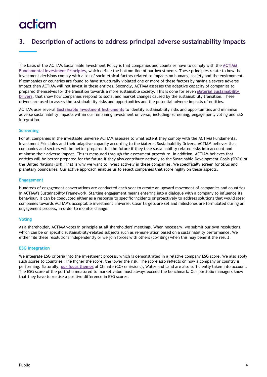### <span id="page-3-0"></span>**3. Description of actions to address principal adverse sustainability impacts**

The basis of the ACTIAM Sustainable Investment Policy is that companies and countries have to comply with the **[ACTIAM](https://www.actiam.com/en/sustainable-investments/fundamental-investment-principles/)  [Fundamental Investment Principles](https://www.actiam.com/en/sustainable-investments/fundamental-investment-principles/)**, which define the bottom-line of our investments. These principles relate to how the investment decisions comply with a set of socio-ethical factors related to impacts on humans, society and the environment. If companies or countries are found to have structurally violated one or more of these factors by having a severe adverse impact then ACTIAM will not invest in these entities. Secondly, ACTIAM assesses the adaptive capacity of companies to prepared themselves for the transition towards a more sustainable society. This is done for seven **[Material Sustainability](https://www.actiam.com/en/sustainable-investments/drivers/)  [Drivers](https://www.actiam.com/en/sustainable-investments/drivers/)**, that show how companies respond to social and market changes caused by the sustainability transition. These drivers are used to assess the sustainability risks and opportunities and the potential adverse impacts of entities.

ACTIAM uses several **[Sustainable Investment Instruments](https://www.actiam.com/en/sustainable-investments/instruments/)** to identify sustainability risks and opportunities and minimise adverse sustainability impacts within our remaining investment universe, including: screening, engagement, voting and ESG integration.

#### **Screening**

For all companies in the investable universe ACTIAM assesses to what extent they comply with the ACTIAM Fundamental Investment Principles and their adaptive capacity according to the Material Sustainability Drivers. ACTIAM believes that companies and sectors will be better prepared for the future if they take sustainability related risks into account and minimise their adverse impact. This is measured through the assessment procedure. In addition, ACTIAM believes that entities will be better prepared for the future if they also contribute actively to the Sustainable Development Goals (SDGs) of the United Nations (UN). That is why we want to invest actively in these companies. We specifically screen for SDGs and planetary boundaries. Our active approach enables us to select companies that score highly on these aspects.

#### **Engagement**

Hundreds of engagement conversations are conducted each year to create an upward movement of companies and countries in ACTIAM's Sustainability Framework. Starting engagement means entering into a dialogue with a company to influence its behaviour. It can be conducted either as a response to specific incidents or proactively to address solutions that would steer companies towards ACTIAM's acceptable investment universe. Clear targets are set and milestones are formulated during an engagement process, in order to monitor change.

#### **Voting**

As a shareholder, ACTIAM votes in principle at all shareholders' meetings. When necessary, we submit our own resolutions, which can be on specific sustainability-related subjects such as remuneration based on a sustainability performance. We either file these resolutions independently or we join forces with others (co-filing) when this may benefit the result.

#### **ESG integration**

We integrate ESG criteria into the investment process, which is demonstrated in a relative company ESG score. We also apply such scores to countries. The higher the score, the lower the risk. The score also reflects on how a company or country is performing. Naturally, [our focus themes](https://www.actiam.com/en/sustainable-investments/ambitions/) of Climate (CO<sub>2</sub> emissions), Water and Land are also sufficiently taken into account. The ESG score of the portfolio measured to market value must always exceed the benchmark. Our portfolio managers know that they have to realise a positive difference in ESG scores.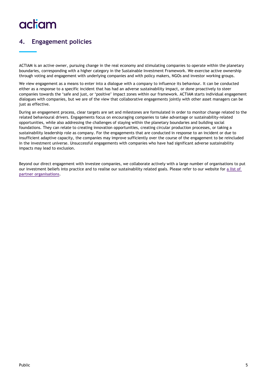### <span id="page-4-0"></span>**4. Engagement policies**

ACTIAM is an active owner, pursuing change in the real economy and stimulating companies to operate within the planetary boundaries, corresponding with a higher category in the Sustainable Investment Framework. We exercise active ownership through voting and engagement with underlying companies and with policy makers, NGOs and investor working groups.

We view engagement as a means to enter into a dialogue with a company to influence its behaviour. It can be conducted either as a response to a specific incident that has had an adverse sustainability impact, or done proactively to steer companies towards the 'safe and just, or 'positive' impact zones within our framework. ACTIAM starts individual engagement dialogues with companies, but we are of the view that collaborative engagements jointly with other asset managers can be just as effective.

During an engagement process, clear targets are set and milestones are formulated in order to monitor change related to the related behavioural drivers. Engagements focus on encouraging companies to take advantage or sustainability-related opportunities, while also addressing the challenges of staying within the planetary boundaries and building social foundations. They can relate to creating innovation opportunities, creating circular production processes, or taking a sustainability leadership role as company. For the engagements that are conducted in response to an incident or due to insufficient adaptive capacity, the companies may improve sufficiently over the course of the engagement to be reincluded in the investment universe. Unsuccessful engagements with companies who have had significant adverse sustainability impacts may lead to exclusion.

Beyond our direct engagement with investee companies, we collaborate actively with a large number of organisations to put our investment beliefs into practice and to realise our sustainability related goals. Please refer to our website for **[a list of](https://www.actiam.com/en/about-actiam/partners/)  [partner organisations](https://www.actiam.com/en/about-actiam/partners/)**.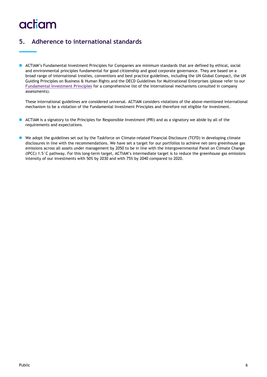### <span id="page-5-0"></span>**5. Adherence to international standards**

 ACTIAM's Fundamental Investment Principles for Companies are minimum standards that are defined by ethical, social and environmental principles fundamental for good citizenship and good corporate governance. They are based on a broad range of international treaties, conventions and best practice guidelines, including the UN Global Compact, the UN Guiding Principles on Business & Human Rights and the OECD Guidelines for Multinational Enterprises (please refer to our **[Fundamental Investment Principles](https://www.actiam.com/4ae1b2/siteassets/4_verantwoord/documenten/en/b-actiam-fundamental-investment-principles.pdf)** for a comprehensive list of the international mechanisms consulted in company assessments).

These international guidelines are considered universal. ACTIAM considers violations of the above-mentioned international mechanism to be a violation of the Fundamental Investment Principles and therefore not eligible for investment.

- ACTIAM is a signatory to the Principles for Responsible Investment (PRI) and as a signatory we abide by all of the requirements and expectations.
- We adopt the guidelines set out by the Taskforce on Climate-related Financial Disclosure (TCFD) in developing climate disclosures in line with the recommendations. We have set a target for our portfolios to achieve net-zero greenhouse gas emissions across all assets under management by 2050 to be in line with the Intergovernmental Panel on Climate Change (IPCC) 1.5°C pathway. For this long-term target, ACTIAM's intermediate target is to reduce the greenhouse gas emissions intensity of our investments with 50% by 2030 and with 75% by 2040 compared to 2020.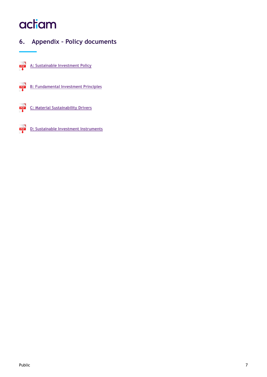### <span id="page-6-0"></span>**6. Appendix – Policy documents**

PDF **[A: Sustainable Investment Policy](https://www.actiam.com/4a7f72/siteassets/4_verantwoord/documenten/en/a-actiam-sustainable-investment-policy.pdf)**



**[B: Fundamental Investment Principles](https://www.actiam.com/4ae1b2/siteassets/4_verantwoord/documenten/en/b-actiam-fundamental-investment-principles.pdf)**



**[C: Material Sustainability Drivers](https://www.actiam.com/4a7f72/siteassets/4_verantwoord/documenten/en/c-actiam-material-sustainability-drivers.pdf)**

PDF **[D: Sustainable Investment Instruments](https://www.actiam.com/4a7f72/siteassets/4_verantwoord/documenten/en/d-actiam-sustainable-investment-instruments.pdf)**